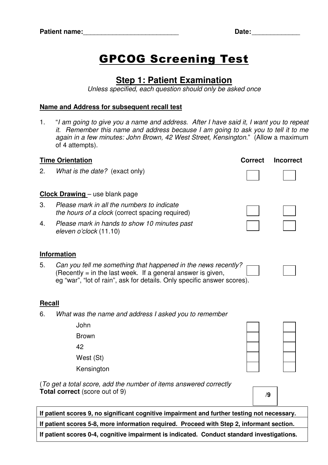## GPCOG Screening Test

## **Step 1: Patient Examination**

Unless specified, each question should only be asked once

## **Name and Address for subsequent recall test**

1. "I am going to give you a name and address. After I have said it, I want you to repeat it. Remember this name and address because I am going to ask you to tell it to me again in a few minutes: John Brown, 42 West Street, Kensington." (Allow a maximum of 4 attempts).

| <b>Time Orientation</b>                                                                                    |                                                                                                                                                                                                           | <b>Correct</b> | <b>Incorrect</b> |  |  |  |
|------------------------------------------------------------------------------------------------------------|-----------------------------------------------------------------------------------------------------------------------------------------------------------------------------------------------------------|----------------|------------------|--|--|--|
| 2.                                                                                                         | What is the date? (exact only)                                                                                                                                                                            |                |                  |  |  |  |
| <b>Clock Drawing</b> – use blank page                                                                      |                                                                                                                                                                                                           |                |                  |  |  |  |
| 3.                                                                                                         | Please mark in all the numbers to indicate<br>the hours of a clock (correct spacing required)                                                                                                             |                |                  |  |  |  |
| 4.                                                                                                         | Please mark in hands to show 10 minutes past<br>eleven o'clock (11.10)                                                                                                                                    |                |                  |  |  |  |
| <b>Information</b>                                                                                         |                                                                                                                                                                                                           |                |                  |  |  |  |
| 5.                                                                                                         | Can you tell me something that happened in the news recently?<br>(Recently $=$ in the last week. If a general answer is given,<br>eg "war", "lot of rain", ask for details. Only specific answer scores). |                |                  |  |  |  |
| <b>Recall</b>                                                                                              |                                                                                                                                                                                                           |                |                  |  |  |  |
| 6.                                                                                                         | What was the name and address I asked you to remember                                                                                                                                                     |                |                  |  |  |  |
|                                                                                                            | John                                                                                                                                                                                                      |                |                  |  |  |  |
|                                                                                                            | <b>Brown</b>                                                                                                                                                                                              |                |                  |  |  |  |
|                                                                                                            | 42                                                                                                                                                                                                        |                |                  |  |  |  |
|                                                                                                            | West (St)                                                                                                                                                                                                 |                |                  |  |  |  |
|                                                                                                            | Kensington                                                                                                                                                                                                |                |                  |  |  |  |
| (To get a total score, add the number of items answered correctly<br><b>Total correct</b> (score out of 9) | /9                                                                                                                                                                                                        |                |                  |  |  |  |
|                                                                                                            |                                                                                                                                                                                                           |                |                  |  |  |  |

**If patient scores 9, no significant cognitive impairment and further testing not necessary. If patient scores 5-8, more information required. Proceed with Step 2, informant section.** 

**If patient scores 0-4, cognitive impairment is indicated. Conduct standard investigations.**